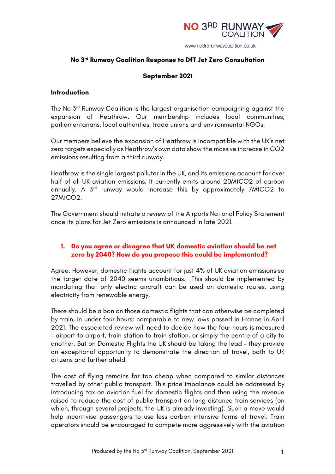

### **No 3rd Runway Coalition Response to DfT Jet Zero Consultation**

### **September 2021**

### **Introduction**

The No 3rd Runway Coalition is the largest organisation campaigning against the expansion of Heathrow. Our membership includes local communities, parliamentarians, local authorities, trade unions and environmental NGOs.

Our members believe the expansion of Heathrow is incompatible with the UK's net zero targets especially as Heathrow's own data show the massive increase in CO2 emissions resulting from a third runway.

Heathrow is the single largest polluter in the UK, and its emissions account for over half of all UK aviation emissions. It currently emits around 20MtCO2 of carbon annually. A 3rd runway would increase this by approximately 7MtCO2 to 27MtCO2.

The Government should initiate a review of the Airports National Policy Statement once its plans for Jet Zero emissions is announced in late 2021.

### **1. Do you agree or disagree that UK domestic aviation should be net zero by 2040? How do you propose this could be implemented?**

Agree. However, domestic flights account for just 4% of UK aviation emissions so the target date of 2040 seems unambitious. This should be implemented by mandating that only electric aircraft can be used on domestic routes, using electricity from renewable energy.

There should be a ban on those domestic flights that can otherwise be completed by train, in under four hours; comparable to new laws passed in France in April 2021. The associated review will need to decide how the four hours is measured – airport to airport, train station to train station, or simply the centre of a city to another. But on Domestic Flights the UK should be taking the lead – they provide an exceptional opportunity to demonstrate the direction of travel, both to UK citizens and further afield.

The cost of flying remains far too cheap when compared to similar distances travelled by other public transport. This price imbalance could be addressed by introducing tax on aviation fuel for domestic flights and then using the revenue raised to reduce the cost of public transport on long distance train services (on which, through several projects, the UK is already investing). Such a move would help incentivise passengers to use less carbon intensive forms of travel. Train operators should be encouraged to compete more aggressively with the aviation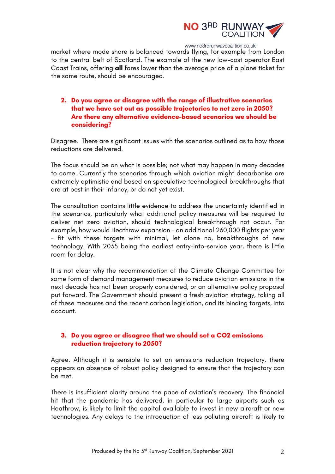

market where mode share is balanced towards flying, for example from London to the central belt of Scotland. The example of the new low-cost operator East Coast Trains, offering **all** fares lower than the average price of a plane ticket for the same route, should be encouraged.

# **2. Do you agree or disagree with the range of illustrative scenarios that we have set out as possible trajectories to net zero in 2050? Are there any alternative evidence-based scenarios we should be considering?**

Disagree. There are significant issues with the scenarios outlined as to how those reductions are delivered.

The focus should be on what is possible; not what may happen in many decades to come. Currently the scenarios through which aviation might decarbonise are extremely optimistic and based on speculative technological breakthroughs that are at best in their infancy, or do not yet exist.

The consultation contains little evidence to address the uncertainty identified in the scenarios, particularly what additional policy measures will be required to deliver net zero aviation, should technological breakthrough not occur. For example, how would Heathrow expansion – an additional 260,000 flights per year – fit with these targets with minimal, let alone no, breakthroughs of new technology. With 2035 being the earliest entry-into-service year, there is little room for delay.

It is not clear why the recommendation of the Climate Change Committee for some form of demand management measures to reduce aviation emissions in the next decade has not been properly considered, or an alternative policy proposal put forward. The Government should present a fresh aviation strategy, taking all of these measures and the recent carbon legislation, and its binding targets, into account.

### **3. Do you agree or disagree that we should set a CO2 emissions reduction trajectory to 2050?**

Agree. Although it is sensible to set an emissions reduction trajectory, there appears an absence of robust policy designed to ensure that the trajectory can be met.

There is insufficient clarity around the pace of aviation's recovery. The financial hit that the pandemic has delivered, in particular to large airports such as Heathrow, is likely to limit the capital available to invest in new aircraft or new technologies. Any delays to the introduction of less polluting aircraft is likely to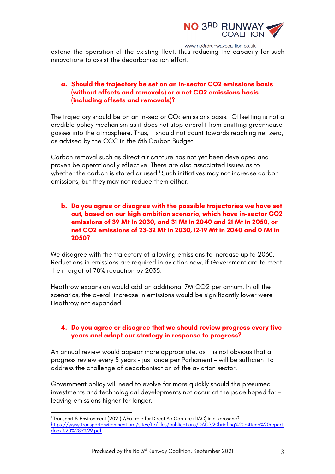

extend the operation of the existing fleet, thus reducing the capacity for such innovations to assist the decarbonisation effort.

# **a. Should the trajectory be set on an in-sector CO2 emissions basis (without offsets and removals) or a net CO2 emissions basis (including offsets and removals)?**

The trajectory should be on an in-sector  $CO<sub>2</sub>$  emissions basis. Offsetting is not a credible policy mechanism as it does not stop aircraft from emitting greenhouse gasses into the atmosphere. Thus, it should not count towards reaching net zero, as advised by the CCC in the 6th Carbon Budget.

Carbon removal such as direct air capture has not yet been developed and proven be operationally effective. There are also associated issues as to whether the carbon is stored or used.<sup>1</sup> Such initiatives may not increase carbon emissions, but they may not reduce them either.

# **b. Do you agree or disagree with the possible trajectories we have set out, based on our high ambition scenario, which have in-sector CO2 emissions of 39 Mt in 2030, and 31 Mt in 2040 and 21 Mt in 2050, or net CO2 emissions of 23-32 Mt in 2030, 12-19 Mt in 2040 and 0 Mt in 2050?**

We disagree with the trajectory of allowing emissions to increase up to 2030. Reductions in emissions are required in aviation now, if Government are to meet their target of 78% reduction by 2035.

Heathrow expansion would add an additional 7MtCO2 per annum. In all the scenarios, the overall increase in emissions would be significantly lower were Heathrow not expanded.

### **4. Do you agree or disagree that we should review progress every five years and adapt our strategy in response to progress?**

An annual review would appear more appropriate, as it is not obvious that a progress review every 5 years – just once per Parliament – will be sufficient to address the challenge of decarbonisation of the aviation sector.

Government policy will need to evolve far more quickly should the presumed investments and technological developments not occur at the pace hoped for leaving emissions higher for longer.

<sup>&</sup>lt;sup>1</sup> Transport & Environment (2021) What role for Direct Air Capture (DAC) in e-kerosene? https://www.transportenvironment.org/sites/te/files/publications/DAC%20briefing%20e4tech%20report. docx%20%283%29.pdf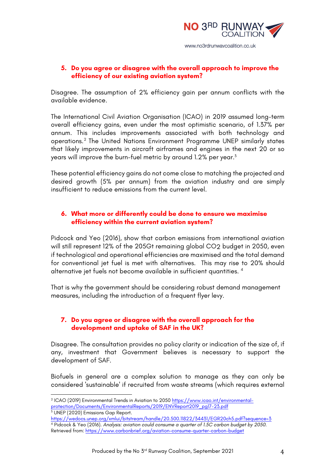

# **5. Do you agree or disagree with the overall approach to improve the efficiency of our existing aviation system?**

Disagree. The assumption of 2% efficiency gain per annum conflicts with the available evidence.

The International Civil Aviation Organisation (ICAO) in 2019 assumed long-term overall efficiency gains, even under the most optimistic scenario, of 1.37% per annum. This includes improvements associated with both technology and operations.2 The United Nations Environment Programme UNEP similarly states that likely improvements in aircraft airframes and engines in the next 20 or so years will improve the burn-fuel metric by around 1.2% per year.<sup>3</sup>

These potential efficiency gains do not come close to matching the projected and desired growth (5% per annum) from the aviation industry and are simply insufficient to reduce emissions from the current level.

# **6. What more or differently could be done to ensure we maximise efficiency within the current aviation system?**

Pidcock and Yeo (2016), show that carbon emissions from international aviation will still represent 12% of the 205Gt remaining global CO2 budget in 2050, even if technological and operational efficiencies are maximised and the total demand for conventional jet fuel is met with alternatives. This may rise to 20% should alternative jet fuels not become available in sufficient quantities. 4

That is why the government should be considering robust demand management measures, including the introduction of a frequent flyer levy.

# **7. Do you agree or disagree with the overall approach for the development and uptake of SAF in the UK?**

Disagree. The consultation provides no policy clarity or indication of the size of, if any, investment that Government believes is necessary to support the development of SAF.

Biofuels in general are a complex solution to manage as they can only be considered 'sustainable' if recruited from waste streams (which requires external

<sup>2</sup> ICAO (2019) Environmental Trends in Aviation to 2050 https://www.icao.int/environmentalprotection/Documents/EnvironmentalReports/2019/ENVReport2019\_pg17-23.pdf  $3$  UNEP (2020) Emissions Gap Report.

https://wedocs.unep.org/xmlui/bitstream/handle/20.500.11822/34431/EGR20ch5.pdf?sequence=3 <sup>4</sup> Pidcock & Yeo (2016). *Analysis: aviation could consume a quarter of 1.5C carbon budget by 2050.*  Retrieved from: https://www.carbonbrief.org/aviation-consume-quarter-carbon-budget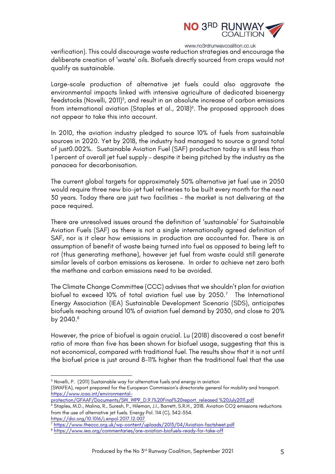

verification). This could discourage waste reduction strategies and encourage the deliberate creation of 'waste' oils. Biofuels directly sourced from crops would not qualify as sustainable.

Large-scale production of alternative jet fuels could also aggravate the environmental impacts linked with intensive agriculture of dedicated bioenergy feedstocks (Novelli, 2011)<sup>5</sup>, and result in an absolute increase of carbon emissions from international aviation (Staples et al., 2018)<sup>6</sup>. The proposed approach does not appear to take this into account.

In 2010, the aviation industry pledged to source 10% of fuels from sustainable sources in 2020. Yet by 2018, the industry had managed to source a grand total of just0.002%. Sustainable Aviation Fuel (SAF) production today is still less than 1 percent of overall jet fuel supply – despite it being pitched by the industry as the panacea for decarbonisation.

The current global targets for approximately 50% alternative jet fuel use in 2050 would require three new bio-jet fuel refineries to be built every month for the next 30 years. Today there are just two facilities – the market is not delivering at the pace required.

There are unresolved issues around the definition of 'sustainable' for Sustainable Aviation Fuels (SAF) as there is not a single internationally agreed definition of SAF, nor is it clear how emissions in production are accounted for. There is an assumption of benefit of waste being turned into fuel as opposed to being left to rot (thus generating methane), however jet fuel from waste could still generate similar levels of carbon emissions as kerosene. In order to achieve net zero both the methane and carbon emissions need to be avoided.

The Climate Change Committee (CCC) advises that we shouldn't plan for aviation biofuel to exceed 10% of total aviation fuel use by 2050.7 The International Energy Association (IEA) Sustainable Development Scenario (SDS), anticipates biofuels reaching around 10% of aviation fuel demand by 2030, and close to 20% by 2040.8

However, the price of biofuel is again crucial. Lu (2018) discovered a cost benefit ratio of more than five has been shown for biofuel usage, suggesting that this is not economical, compared with traditional fuel. The results show that it is not until the biofuel price is just around 8-11% higher than the traditional fuel that the use

protection/GFAAF/Documents/SW\_WP9\_D.9.1%20Final%20report\_released %20July2011.pdf

<sup>5</sup> Novelli, P. (2011) Sustainable way for alternative fuels and energy in aviation (SWAFEA), report prepared for the European Commission's directorate general for mobility and transport. https://www.icao.int/environmental-

<sup>&</sup>lt;sup>6</sup> Staples, M.D., Malina, R., Suresh, P., Hileman, J.I., Barrett, S.R.H., 2018. Aviation CO<sub>2</sub> emissions reductions from the use of alternative jet fuels. Energy Pol. 114 (C), 342–354.

https://doi.org/10.1016/j.enpol.2017.12.007

<sup>7</sup> https://www.theccc.org.uk/wp-content/uploads/2013/04/Aviation-factsheet.pdf

<sup>8</sup> https://www.iea.org/commentaries/are-aviation-biofuels-ready-for-take-off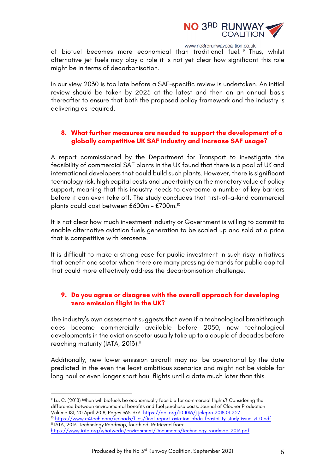

of biofuel becomes more economical than traditional fuel. <sup>9</sup> Thus, whilst alternative jet fuels may play a role it is not yet clear how significant this role might be in terms of decarbonisation.

In our view 2030 is too late before a SAF-specific review is undertaken. An initial review should be taken by 2025 at the latest and then on an annual basis thereafter to ensure that both the proposed policy framework and the industry is delivering as required.

# **8. What further measures are needed to support the development of a globally competitive UK SAF industry and increase SAF usage?**

A report commissioned by the Department for Transport to investigate the feasibility of commercial SAF plants in the UK found that there is a pool of UK and international developers that could build such plants. However, there is significant technology risk, high capital costs and uncertainty on the monetary value of policy support, meaning that this industry needs to overcome a number of key barriers before it can even take off. The study concludes that first-of-a-kind commercial plants could cost between £600m - £700m.10

It is not clear how much investment industry or Government is willing to commit to enable alternative aviation fuels generation to be scaled up and sold at a price that is competitive with kerosene.

It is difficult to make a strong case for public investment in such risky initiatives that benefit one sector when there are many pressing demands for public capital that could more effectively address the decarbonisation challenge.

# **9. Do you agree or disagree with the overall approach for developing zero emission flight in the UK?**

The industry's own assessment suggests that even if a technological breakthrough does become commercially available before 2050, new technological developments in the aviation sector usually take up to a couple of decades before reaching maturity (IATA, 2013). $^{\text{II}}$ 

Additionally, new lower emission aircraft may not be operational by the date predicted in the even the least ambitious scenarios and might not be viable for long haul or even longer short haul flights until a date much later than this.

<sup>9</sup> Lu, C. (2018) When will biofuels be economically feasible for commercial flights? Considering the difference between environmental benefits and fuel purchase costs. Journal of Cleaner Production Volume 181, 20 April 2018, Pages 365-373. https://doi.org/10.1016/j.jclepro.2018.01.227

<sup>10</sup> https://www.e4tech.com/uploads/files/final-report-aviation-abdc-feasibility-study-issue-v1-0.pdf <sup>11</sup> IATA, 2013. Technology Roadmap, fourth ed. Retrieved from:

https://www.iata.org/whatwedo/environment/Documents/technology-roadmap-2013.pdf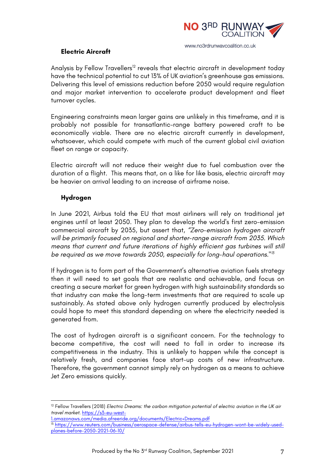

## **Electric Aircraft**

Analysis by Fellow Travellers<sup>12</sup> reveals that electric aircraft in development today have the technical potential to cut 13% of UK aviation's greenhouse gas emissions. Delivering this level of emissions reduction before 2050 would require regulation and major market intervention to accelerate product development and fleet turnover cycles.

Engineering constraints mean larger gains are unlikely in this timeframe, and it is probably not possible for transatlantic-range battery powered craft to be economically viable. There are no electric aircraft currently in development, whatsoever, which could compete with much of the current global civil aviation fleet on range or capacity.

Electric aircraft will not reduce their weight due to fuel combustion over the duration of a flight. This means that, on a like for like basis, electric aircraft may be heavier on arrival leading to an increase of airframe noise.

# **Hydrogen**

In June 2021, Airbus told the EU that most airliners will rely on traditional jet engines until at least 2050. They plan to develop the world's first zero-emission commercial aircraft by 2035, but assert that, *"Zero-emission hydrogen aircraft will be primarily focused on regional and shorter-range aircraft from 2035. Which means that current and future iterations of highly efficient gas turbines will still be required as we move towards 2050, especially for long-haul operations."13*

If hydrogen is to form part of the Government's alternative aviation fuels strategy then it will need to set goals that are realistic and achievable, and focus on creating a secure market for green hydrogen with high sustainability standards so that industry can make the long-term investments that are required to scale up sustainably. As stated above only hydrogen currently produced by electrolysis could hope to meet this standard depending on where the electricity needed is generated from.

The cost of hydrogen aircraft is a significant concern. For the technology to become competitive, the cost will need to fall in order to increase its competitiveness in the industry. This is unlikely to happen while the concept is relatively fresh, and companies face start-up costs of new infrastructure. Therefore, the government cannot simply rely on hydrogen as a means to achieve Jet Zero emissions quickly.

<sup>&</sup>lt;sup>12</sup> Fellow Travellers (2018) *Electric Dreams: the carbon mitigation potential of electric aviation in the UK air travel market*. https://s3-eu-west-

<sup>1.</sup>amazonaws.com/media.afreeride.org/documents/Electric+Dreams.pdf

<sup>&</sup>lt;sup>13</sup> https://www.reuters.com/business/aerospace-defense/airbus-tells-eu-hydrogen-wont-be-widely-usedplanes-before-2050-2021-06-10/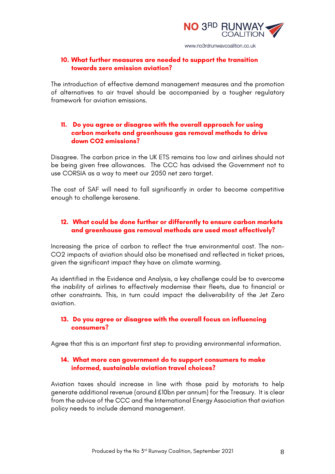

# **10. What further measures are needed to support the transition towards zero emission aviation?**

The introduction of effective demand management measures and the promotion of alternatives to air travel should be accompanied by a tougher regulatory framework for aviation emissions.

## **11. Do you agree or disagree with the overall approach for using carbon markets and greenhouse gas removal methods to drive down CO2 emissions?**

Disagree. The carbon price in the UK ETS remains too low and airlines should not be being given free allowances. The CCC has advised the Government not to use CORSIA as a way to meet our 2050 net zero target.

The cost of SAF will need to fall significantly in order to become competitive enough to challenge kerosene.

# **12. What could be done further or differently to ensure carbon markets and greenhouse gas removal methods are used most effectively?**

Increasing the price of carbon to reflect the true environmental cost. The non-CO2 impacts of aviation should also be monetised and reflected in ticket prices, given the significant impact they have on climate warming.

As identified in the Evidence and Analysis, a key challenge could be to overcome the inability of airlines to effectively modernise their fleets, due to financial or other constraints. This, in turn could impact the deliverability of the Jet Zero aviation.

### **13. Do you agree or disagree with the overall focus on influencing consumers?**

Agree that this is an important first step to providing environmental information.

### **14. What more can government do to support consumers to make informed, sustainable aviation travel choices?**

Aviation taxes should increase in line with those paid by motorists to help generate additional revenue (around £10bn per annum) for the Treasury. It is clear from the advice of the CCC and the International Energy Association that aviation policy needs to include demand management.